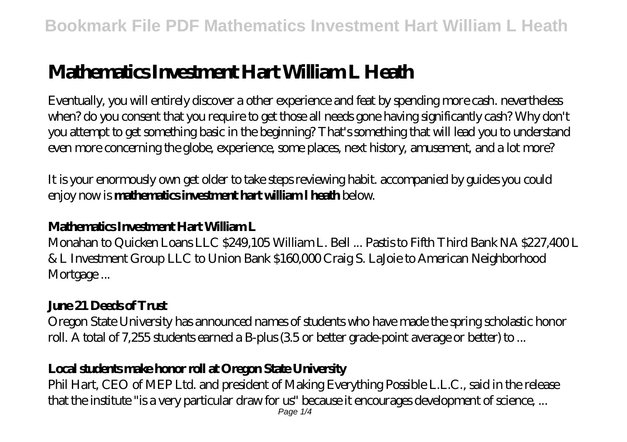# **Mathematics Investment Hart William L Heath**

Eventually, you will entirely discover a other experience and feat by spending more cash. nevertheless when? do you consent that you require to get those all needs gone having significantly cash? Why don't you attempt to get something basic in the beginning? That's something that will lead you to understand even more concerning the globe, experience, some places, next history, amusement, and a lot more?

It is your enormously own get older to take steps reviewing habit. accompanied by guides you could enjoy now is **mathematics investment hart william l heath** below.

#### **Mathematics Investment Hart William L**

Monahan to Quicken Loans LLC \$249,105 William L. Bell ... Pastis to Fifth Third Bank NA \$227,400 L & L Investment Group LLC to Union Bank \$160,000 Craig S. LaJoie to American Neighborhood Mortgage...

## **June 21 Deeds of Trust**

Oregon State University has announced names of students who have made the spring scholastic honor roll. A total of 7,255 students earned a B-plus (3.5 or better grade-point average or better) to ...

#### **Local students make honor roll at Oregon State University**

Phil Hart, CEO of MEP Ltd. and president of Making Everything Possible L.L.C., said in the release that the institute "is a very particular draw for us" because it encourages development of science, ...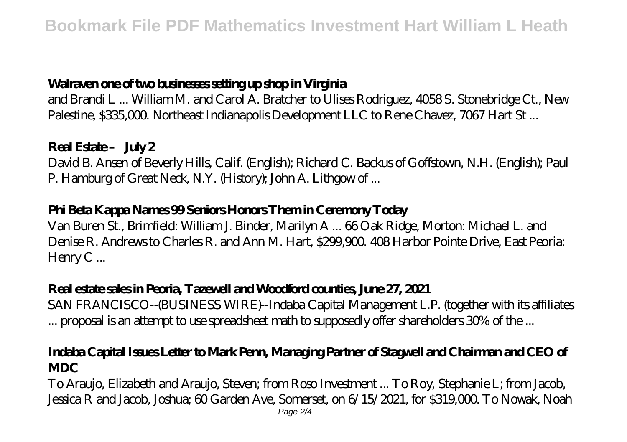### **Walraven one of two businesses setting up shop in Virginia**

and Brandi L ... William M. and Carol A. Bratcher to Ulises Rodriguez, 4058 S. Stonebridge Ct., New Palestine, \$335,000. Northeast Indianapolis Development LLC to Rene Chavez, 7067 Hart St...

#### Real Estate – July 2

David B. Ansen of Beverly Hills, Calif. (English); Richard C. Backus of Goffstown, N.H. (English); Paul P. Hamburg of Great Neck, N.Y. (History); John A. Lithgow of ...

### **Phi Beta Kappa Names 99 Seniors Honors Them in Ceremony Today**

Van Buren St., Brimfield: William J. Binder, Marilyn A ... 66 Oak Ridge, Morton: Michael L. and Denise R. Andrews to Charles R. and Ann M. Hart, \$299,900. 408 Harbor Pointe Drive, East Peoria: Henry C...

#### **Real estate sales in Peoria, Tazewell and Woodford counties, June 27, 2021**

SAN FRANCISCO--(BUSINESS WIRE)--Indaba Capital Management L.P. (together with its affiliates ... proposal is an attempt to use spreadsheet math to supposedly offer shareholders 30% of the ...

#### **Indaba Capital Issues Letter to Mark Penn, Managing Partner of Stagwell and Chairman and CEO of MDC**

To Araujo, Elizabeth and Araujo, Steven; from Roso Investment ... To Roy, Stephanie L; from Jacob, Jessica R and Jacob, Joshua; 60 Garden Ave, Somerset, on 6/15/2021, for \$319,000. To Nowak, Noah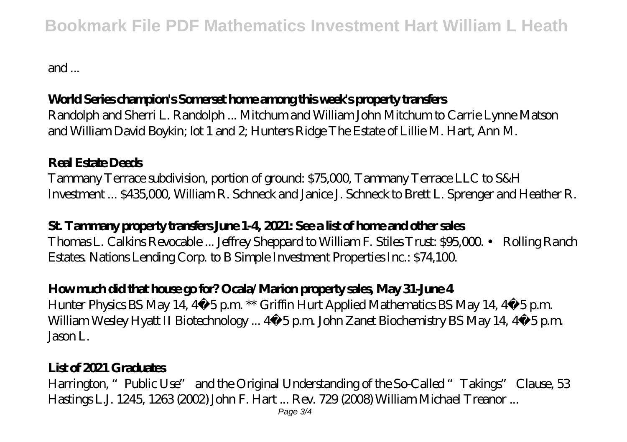## **Bookmark File PDF Mathematics Investment Hart William L Heath**

and ...

#### **World Series champion's Somerset home among this week's property transfers**

Randolph and Sherri L. Randolph ... Mitchum and William John Mitchum to Carrie Lynne Matson and William David Boykin; lot 1 and 2; Hunters Ridge The Estate of Lillie M. Hart, Ann M.

#### **Real Estate Deeds**

Tammany Terrace subdivision, portion of ground: \$75,000, Tammany Terrace LLC to S&H Investment ... \$435,000, William R. Schneck and Janice J. Schneck to Brett L. Sprenger and Heather R.

#### **St. Tammany property transfers June 1-4, 2021: See a list of home and other sales**

Thomas L. Calkins Revocable ... Jeffrey Sheppard to William F. Stiles Trust: \$95,000. • Rolling Ranch Estates. Nations Lending Corp. to B Simple Investment Properties Inc.: \$74,100.

#### **How much did that house go for? Ocala/Marion property sales, May 31-June 4**

Hunter Physics BS May 14, 4‑5 p.m. \*\* Griffin Hurt Applied Mathematics BS May 14, 4‑5 p.m. William Wesley Hyatt II Biotechnology ... 4 5 p.m. John Zanet Biochemistry BS May 14, 4 5 p.m. Jason L.

#### **List of 2021 Graduates**

Harrington, "Public Use" and the Original Understanding of the So-Called "Takings" Clause, 53 Hastings L.J. 1245, 1263 (2002) John F. Hart ... Rev. 729 (2008) William Michael Treanor ...